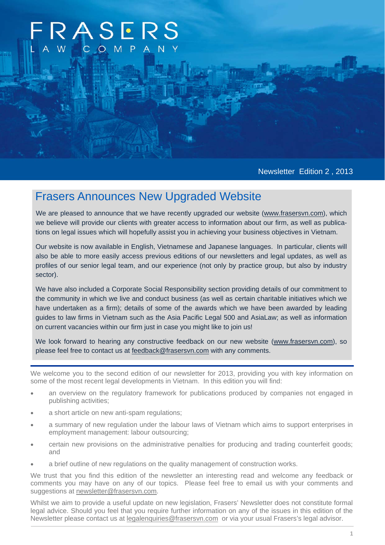# **RASERS** COMP

Newsletter Edition 2 , 2013

## Frasers Announces New Upgraded Website

We are pleased to announce that we have recently upgraded our website (www.frasersvn.com), which we believe will provide our clients with greater access to information about our firm, as well as publications on legal issues which will hopefully assist you in achieving your business objectives in Vietnam.

Our website is now available in English, Vietnamese and Japanese languages. In particular, clients will also be able to more easily access previous editions of our newsletters and legal updates, as well as profiles of our senior legal team, and our experience (not only by practice group, but also by industry sector).

We have also included a Corporate Social Responsibility section providing details of our commitment to the community in which we live and conduct business (as well as certain charitable initiatives which we have undertaken as a firm); details of some of the awards which we have been awarded by leading guides to law firms in Vietnam such as the Asia Pacific Legal 500 and AsiaLaw; as well as information on current vacancies within our firm just in case you might like to join us!

We look forward to hearing any constructive feedback on our new website (www.frasersvn.com), so please feel free to contact us at feedback@frasersvn.com with any comments.

We welcome you to the second edition of our newsletter for 2013, providing you with key information on some of the most recent legal developments in Vietnam. In this edition you will find:

- an overview on the regulatory framework for publications produced by companies not engaged in publishing activities;
- a short article on new anti-spam regulations;
- a summary of new regulation under the labour laws of Vietnam which aims to support enterprises in employment management: labour outsourcing;
- certain new provisions on the administrative penalties for producing and trading counterfeit goods; and
- a brief outline of new regulations on the quality management of construction works.

We trust that you find this edition of the newsletter an interesting read and welcome any feedback or comments you may have on any of our topics. Please feel free to email us with your comments and suggestions at newsletter@frasersvn.com.

Whilst we aim to provide a useful update on new legislation, Frasers' Newsletter does not constitute formal legal advice. Should you feel that you require further information on any of the issues in this edition of the Newsletter please contact us at legalenquiries@frasersvn.com or via your usual Frasers's legal advisor.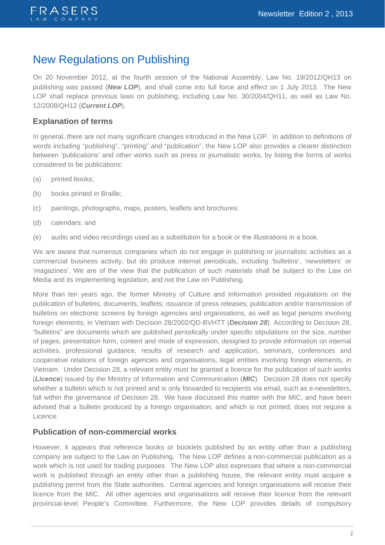

## New Regulations on Publishing

On 20 November 2012, at the fourth session of the National Assembly, Law No. 19/2012/QH13 on publishing was passed (*New LOP*), and shall come into full force and effect on 1 July 2013. The New LOP shall replace previous laws on publishing, including Law No. 30/2004/QH11, as well as Law No. 12/2008/QH12 (*Current LOP*).

### **Explanation of terms**

In general, there are not many significant changes introduced in the New LOP. In addition to definitions of words including "publishing", "printing" and "publication", the New LOP also provides a clearer distinction between 'publications' and other works such as press or journalistic works, by listing the forms of works considered to be publications:

- (a) printed books;
- (b) books printed in Braille;
- (c) paintings, photographs, maps, posters, leaflets and brochures;
- (d) calendars; and
- (e) audio and video recordings used as a substitution for a book or the illustrations in a book.

We are aware that numerous companies which do not engage in publishing or journalistic activities as a commercial business activity, but do produce internal periodicals, including 'bulletins', 'newsletters' or 'magazines'. We are of the view that the publication of such materials shall be subject to the Law on Media and its implementing legislation, and not the Law on Publishing.

More than ten years ago, the former Ministry of Culture and Information provided regulations on the publication of bulletins, documents, leaflets; issuance of press releases; publication and/or transmission of bulletins on electronic screens by foreign agencies and organisations, as well as legal persons involving foreign elements, in Vietnam with Decision 28/2002/QD-BVHTT (*Decision 28*). According to Decision 28, "bulletins" are documents which are published periodically under specific stipulations on the size, number of pages, presentation form, content and mode of expression, designed to provide information on internal activities, professional guidance, results of research and application, seminars, conferences and cooperative relations of foreign agencies and organisations, legal entities involving foreign elements, in Vietnam. Under Decision 28, a relevant entity must be granted a licence for the publication of such works (*Licence*) issued by the Ministry of Information and Communication (*MIC*). Decision 28 does not specify whether a bulletin which is not printed and is only forwarded to recipients via email, such as e-newsletters, fall within the governance of Decision 28. We have discussed this matter with the MIC, and have been advised that a bulletin produced by a foreign organisation, and which is not printed, does not require a Licence.

### **Publication of non-commercial works**

However, it appears that reference books or booklets published by an entity other than a publishing company are subject to the Law on Publishing. The New LOP defines a non-commercial publication as a work which is not used for trading purposes. The New LOP also expresses that where a non-commercial work is published through an entity other than a publishing house, the relevant entity must acquire a publishing permit from the State authorities. Central agencies and foreign organisations will receive their licence from the MIC. All other agencies and organisations will receive their licence from the relevant provincial-level People's Committee. Furthermore, the New LOP provides details of compulsory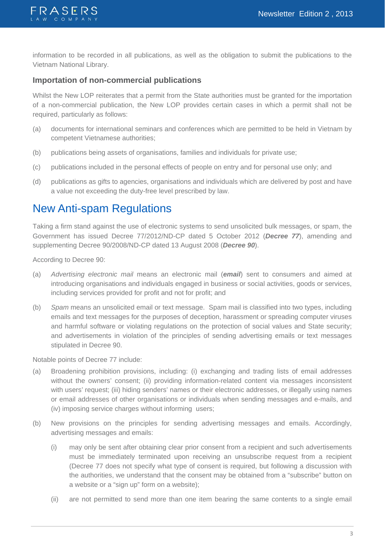

information to be recorded in all publications, as well as the obligation to submit the publications to the Vietnam National Library.

### **Importation of non-commercial publications**

Whilst the New LOP reiterates that a permit from the State authorities must be granted for the importation of a non-commercial publication, the New LOP provides certain cases in which a permit shall not be required, particularly as follows:

- (a) documents for international seminars and conferences which are permitted to be held in Vietnam by competent Vietnamese authorities;
- (b) publications being assets of organisations, families and individuals for private use;
- (c) publications included in the personal effects of people on entry and for personal use only; and
- (d) publications as gifts to agencies, organisations and individuals which are delivered by post and have a value not exceeding the duty-free level prescribed by law.

### New Anti-spam Regulations

Taking a firm stand against the use of electronic systems to send unsolicited bulk messages, or spam, the Government has issued Decree 77/2012/ND-CP dated 5 October 2012 (*Decree 77*), amending and supplementing Decree 90/2008/ND-CP dated 13 August 2008 (*Decree 90*).

According to Decree 90:

- (a) *Advertising electronic mail* means an electronic mail (*email*) sent to consumers and aimed at introducing organisations and individuals engaged in business or social activities, goods or services, including services provided for profit and not for profit; and
- (b) *Spam* means an unsolicited email or text message. Spam mail is classified into two types, including emails and text messages for the purposes of deception, harassment or spreading computer viruses and harmful software or violating regulations on the protection of social values and State security; and advertisements in violation of the principles of sending advertising emails or text messages stipulated in Decree 90.

Notable points of Decree 77 include:

- (a) Broadening prohibition provisions, including: (i) exchanging and trading lists of email addresses without the owners' consent; (ii) providing information-related content via messages inconsistent with users' request; (iii) hiding senders' names or their electronic addresses, or illegally using names or email addresses of other organisations or individuals when sending messages and e-mails, and (iv) imposing service charges without informing users;
- (b) New provisions on the principles for sending advertising messages and emails. Accordingly, advertising messages and emails:
	- (i) may only be sent after obtaining clear prior consent from a recipient and such advertisements must be immediately terminated upon receiving an unsubscribe request from a recipient (Decree 77 does not specify what type of consent is required, but following a discussion with the authorities, we understand that the consent may be obtained from a "subscribe" button on a website or a "sign up" form on a website);
	- (ii) are not permitted to send more than one item bearing the same contents to a single email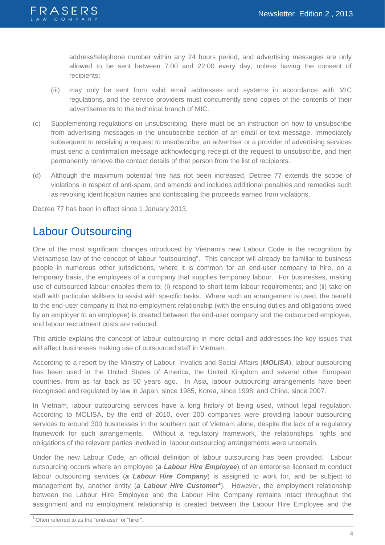

address/telephone number within any 24 hours period, and advertising messages are only allowed to be sent between 7:00 and 22:00 every day, unless having the consent of recipients;

- (iii) may only be sent from valid email addresses and systems in accordance with MIC regulations, and the service providers must concurrently send copies of the contents of their advertisements to the technical branch of MIC.
- (c) Supplementing regulations on unsubscribing, there must be an instruction on how to unsubscribe from advertising messages in the unsubscribe section of an email or text message. Immediately subsequent to receiving a request to unsubscribe, an advertiser or a provider of advertising services must send a confirmation message acknowledging receipt of the request to unsubscribe, and then permanently remove the contact details of that person from the list of recipients.
- (d) Although the maximum potential fine has not been increased, Decree 77 extends the scope of violations in respect of anti-spam, and amends and includes additional penalties and remedies such as revoking identification names and confiscating the proceeds earned from violations.

Decree 77 has been in effect since 1 January 2013.

## Labour Outsourcing

One of the most significant changes introduced by Vietnam's new Labour Code is the recognition by Vietnamese law of the concept of labour "outsourcing". This concept will already be familiar to business people in numerous other jurisdictions, where it is common for an end-user company to hire, on a temporary basis, the employees of a company that supplies temporary labour. For businesses, making use of outsourced labour enables them to: (i) respond to short term labour requirements; and (ii) take on staff with particular skillsets to assist with specific tasks. Where such an arrangement is used, the benefit to the end-user company is that no employment relationship (with the ensuing duties and obligations owed by an employer to an employee) is created between the end-user company and the outsourced employee, and labour recruitment costs are reduced.

This article explains the concept of labour outsourcing in more detail and addresses the key issues that will affect businesses making use of outsourced staff in Vietnam.

According to a report by the Ministry of Labour, Invalids and Social Affairs (*MOLISA*), labour outsourcing has been used in the United States of America, the United Kingdom and several other European countries, from as far back as 50 years ago. In Asia, labour outsourcing arrangements have been recognised and regulated by law in Japan, since 1985, Korea, since 1998, and China, since 2007.

In Vietnam, labour outsourcing services have a long history of being used, without legal regulation. According to MOLISA, by the end of 2010, over 200 companies were providing labour outsourcing services to around 300 businesses in the southern part of Vietnam alone, despite the lack of a regulatory framework for such arrangements. Without a regulatory framework, the relationships, rights and obligations of the relevant parties involved in labour outsourcing arrangements were uncertain.

Under the new Labour Code, an official definition of labour outsourcing has been provided. Labour outsourcing occurs where an employee (*a Labour Hire Employee*) of an enterprise licensed to conduct labour outsourcing services (*a Labour Hire Company*) is assigned to work for, and be subject to management by, another entity (*a Labour Hire Customer<sup>1</sup>* ). However, the employment relationship between the Labour Hire Employee and the Labour Hire Company remains intact throughout the assignment and no employment relationship is created between the Labour Hire Employee and the

<sup>&</sup>lt;sup>1</sup> Often referred to as the "end-user" or "hirer".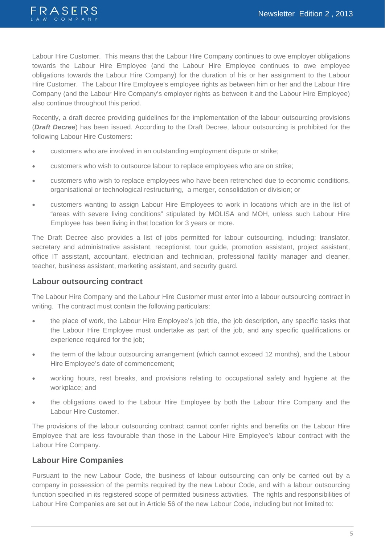

Labour Hire Customer. This means that the Labour Hire Company continues to owe employer obligations towards the Labour Hire Employee (and the Labour Hire Employee continues to owe employee obligations towards the Labour Hire Company) for the duration of his or her assignment to the Labour Hire Customer. The Labour Hire Employee's employee rights as between him or her and the Labour Hire Company (and the Labour Hire Company's employer rights as between it and the Labour Hire Employee) also continue throughout this period.

Recently, a draft decree providing guidelines for the implementation of the labour outsourcing provisions (*Draft Decree*) has been issued. According to the Draft Decree, labour outsourcing is prohibited for the following Labour Hire Customers:

- customers who are involved in an outstanding employment dispute or strike;
- customers who wish to outsource labour to replace employees who are on strike;
- customers who wish to replace employees who have been retrenched due to economic conditions, organisational or technological restructuring, a merger, consolidation or division; or
- customers wanting to assign Labour Hire Employees to work in locations which are in the list of "areas with severe living conditions" stipulated by MOLISA and MOH, unless such Labour Hire Employee has been living in that location for 3 years or more.

The Draft Decree also provides a list of jobs permitted for labour outsourcing, including: translator, secretary and administrative assistant, receptionist, tour guide, promotion assistant, project assistant, office IT assistant, accountant, electrician and technician, professional facility manager and cleaner, teacher, business assistant, marketing assistant, and security guard.

### **Labour outsourcing contract**

The Labour Hire Company and the Labour Hire Customer must enter into a labour outsourcing contract in writing. The contract must contain the following particulars:

- the place of work, the Labour Hire Employee's job title, the job description, any specific tasks that the Labour Hire Employee must undertake as part of the job, and any specific qualifications or experience required for the job;
- the term of the labour outsourcing arrangement (which cannot exceed 12 months), and the Labour Hire Employee's date of commencement;
- working hours, rest breaks, and provisions relating to occupational safety and hygiene at the workplace; and
- the obligations owed to the Labour Hire Employee by both the Labour Hire Company and the Labour Hire Customer.

The provisions of the labour outsourcing contract cannot confer rights and benefits on the Labour Hire Employee that are less favourable than those in the Labour Hire Employee's labour contract with the Labour Hire Company.

### **Labour Hire Companies**

Pursuant to the new Labour Code, the business of labour outsourcing can only be carried out by a company in possession of the permits required by the new Labour Code, and with a labour outsourcing function specified in its registered scope of permitted business activities. The rights and responsibilities of Labour Hire Companies are set out in Article 56 of the new Labour Code, including but not limited to: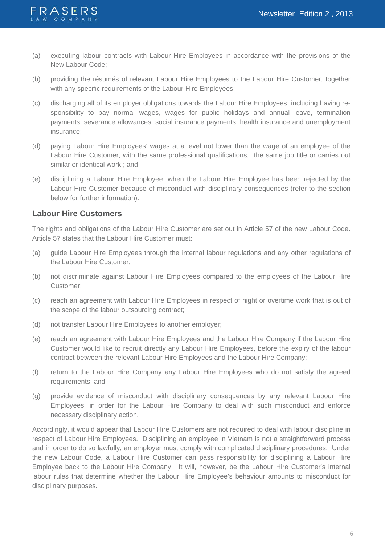

- (a) executing labour contracts with Labour Hire Employees in accordance with the provisions of the New Labour Code;
- (b) providing the résumés of relevant Labour Hire Employees to the Labour Hire Customer, together with any specific requirements of the Labour Hire Employees;
- (c) discharging all of its employer obligations towards the Labour Hire Employees, including having responsibility to pay normal wages, wages for public holidays and annual leave, termination payments, severance allowances, social insurance payments, health insurance and unemployment insurance;
- (d) paying Labour Hire Employees' wages at a level not lower than the wage of an employee of the Labour Hire Customer, with the same professional qualifications, the same job title or carries out similar or identical work ; and
- (e) disciplining a Labour Hire Employee, when the Labour Hire Employee has been rejected by the Labour Hire Customer because of misconduct with disciplinary consequences (refer to the section below for further information).

### **Labour Hire Customers**

The rights and obligations of the Labour Hire Customer are set out in Article 57 of the new Labour Code. Article 57 states that the Labour Hire Customer must:

- (a) guide Labour Hire Employees through the internal labour regulations and any other regulations of the Labour Hire Customer;
- (b) not discriminate against Labour Hire Employees compared to the employees of the Labour Hire Customer;
- (c) reach an agreement with Labour Hire Employees in respect of night or overtime work that is out of the scope of the labour outsourcing contract;
- (d) not transfer Labour Hire Employees to another employer;
- (e) reach an agreement with Labour Hire Employees and the Labour Hire Company if the Labour Hire Customer would like to recruit directly any Labour Hire Employees, before the expiry of the labour contract between the relevant Labour Hire Employees and the Labour Hire Company;
- (f) return to the Labour Hire Company any Labour Hire Employees who do not satisfy the agreed requirements; and
- (g) provide evidence of misconduct with disciplinary consequences by any relevant Labour Hire Employees, in order for the Labour Hire Company to deal with such misconduct and enforce necessary disciplinary action.

Accordingly, it would appear that Labour Hire Customers are not required to deal with labour discipline in respect of Labour Hire Employees. Disciplining an employee in Vietnam is not a straightforward process and in order to do so lawfully, an employer must comply with complicated disciplinary procedures. Under the new Labour Code, a Labour Hire Customer can pass responsibility for disciplining a Labour Hire Employee back to the Labour Hire Company. It will, however, be the Labour Hire Customer's internal labour rules that determine whether the Labour Hire Employee's behaviour amounts to misconduct for disciplinary purposes.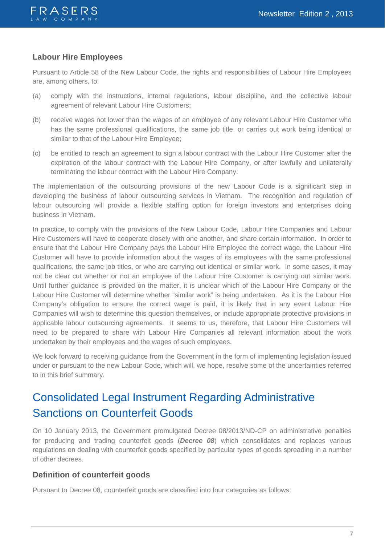

### **Labour Hire Employees**

Pursuant to Article 58 of the New Labour Code, the rights and responsibilities of Labour Hire Employees are, among others, to:

- (a) comply with the instructions, internal regulations, labour discipline, and the collective labour agreement of relevant Labour Hire Customers;
- (b) receive wages not lower than the wages of an employee of any relevant Labour Hire Customer who has the same professional qualifications, the same job title, or carries out work being identical or similar to that of the Labour Hire Employee;
- (c) be entitled to reach an agreement to sign a labour contract with the Labour Hire Customer after the expiration of the labour contract with the Labour Hire Company, or after lawfully and unilaterally terminating the labour contract with the Labour Hire Company.

The implementation of the outsourcing provisions of the new Labour Code is a significant step in developing the business of labour outsourcing services in Vietnam. The recognition and regulation of labour outsourcing will provide a flexible staffing option for foreign investors and enterprises doing business in Vietnam.

In practice, to comply with the provisions of the New Labour Code, Labour Hire Companies and Labour Hire Customers will have to cooperate closely with one another, and share certain information. In order to ensure that the Labour Hire Company pays the Labour Hire Employee the correct wage, the Labour Hire Customer will have to provide information about the wages of its employees with the same professional qualifications, the same job titles, or who are carrying out identical or similar work. In some cases, it may not be clear cut whether or not an employee of the Labour Hire Customer is carrying out similar work. Until further guidance is provided on the matter, it is unclear which of the Labour Hire Company or the Labour Hire Customer will determine whether "similar work" is being undertaken. As it is the Labour Hire Company's obligation to ensure the correct wage is paid, it is likely that in any event Labour Hire Companies will wish to determine this question themselves, or include appropriate protective provisions in applicable labour outsourcing agreements. It seems to us, therefore, that Labour Hire Customers will need to be prepared to share with Labour Hire Companies all relevant information about the work undertaken by their employees and the wages of such employees.

We look forward to receiving guidance from the Government in the form of implementing legislation issued under or pursuant to the new Labour Code, which will, we hope, resolve some of the uncertainties referred to in this brief summary.

## Consolidated Legal Instrument Regarding Administrative Sanctions on Counterfeit Goods

On 10 January 2013, the Government promulgated Decree 08/2013/ND-CP on administrative penalties for producing and trading counterfeit goods (*Decree 08*) which consolidates and replaces various regulations on dealing with counterfeit goods specified by particular types of goods spreading in a number of other decrees.

### **Definition of counterfeit goods**

Pursuant to Decree 08, counterfeit goods are classified into four categories as follows: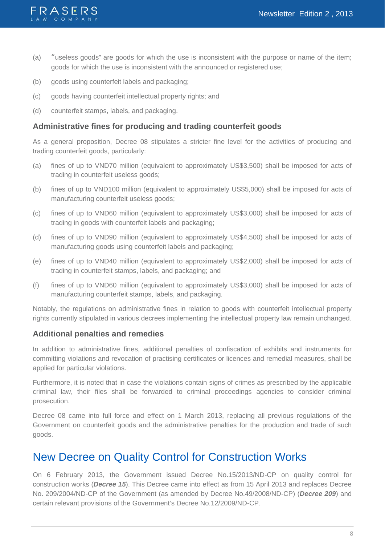

- (a) "useless goods" are goods for which the use is inconsistent with the purpose or name of the item; goods for which the use is inconsistent with the announced or registered use;
- (b) goods using counterfeit labels and packaging;
- (c) goods having counterfeit intellectual property rights; and
- (d) counterfeit stamps, labels, and packaging.

### **Administrative fines for producing and trading counterfeit goods**

As a general proposition, Decree 08 stipulates a stricter fine level for the activities of producing and trading counterfeit goods, particularly:

- (a) fines of up to VND70 million (equivalent to approximately US\$3,500) shall be imposed for acts of trading in counterfeit useless goods;
- (b) fines of up to VND100 million (equivalent to approximately US\$5,000) shall be imposed for acts of manufacturing counterfeit useless goods;
- (c) fines of up to VND60 million (equivalent to approximately US\$3,000) shall be imposed for acts of trading in goods with counterfeit labels and packaging;
- (d) fines of up to VND90 million (equivalent to approximately US\$4,500) shall be imposed for acts of manufacturing goods using counterfeit labels and packaging;
- (e) fines of up to VND40 million (equivalent to approximately US\$2,000) shall be imposed for acts of trading in counterfeit stamps, labels, and packaging; and
- (f) fines of up to VND60 million (equivalent to approximately US\$3,000) shall be imposed for acts of manufacturing counterfeit stamps, labels, and packaging.

Notably, the regulations on administrative fines in relation to goods with counterfeit intellectual property rights currently stipulated in various decrees implementing the intellectual property law remain unchanged.

### **Additional penalties and remedies**

In addition to administrative fines, additional penalties of confiscation of exhibits and instruments for committing violations and revocation of practising certificates or licences and remedial measures, shall be applied for particular violations.

Furthermore, it is noted that in case the violations contain signs of crimes as prescribed by the applicable criminal law, their files shall be forwarded to criminal proceedings agencies to consider criminal prosecution.

Decree 08 came into full force and effect on 1 March 2013, replacing all previous regulations of the Government on counterfeit goods and the administrative penalties for the production and trade of such goods.

## New Decree on Quality Control for Construction Works

On 6 February 2013, the Government issued Decree No.15/2013/ND-CP on quality control for construction works (*Decree 15*). This Decree came into effect as from 15 April 2013 and replaces Decree No. 209/2004/ND-CP of the Government (as amended by Decree No.49/2008/ND-CP) (*Decree 209*) and certain relevant provisions of the Government's Decree No.12/2009/ND-CP.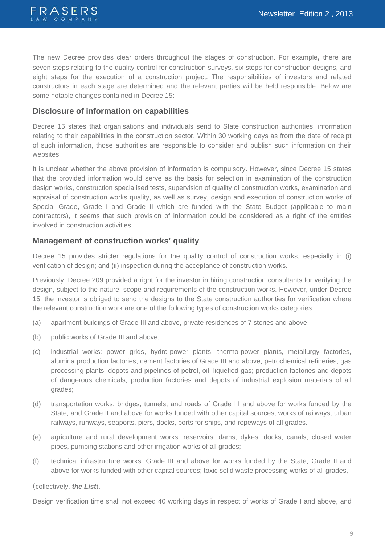

The new Decree provides clear orders throughout the stages of construction. For example, there are seven steps relating to the quality control for construction surveys, six steps for construction designs, and eight steps for the execution of a construction project. The responsibilities of investors and related constructors in each stage are determined and the relevant parties will be held responsible. Below are some notable changes contained in Decree 15:

### **Disclosure of information on capabilities**

Decree 15 states that organisations and individuals send to State construction authorities, information relating to their capabilities in the construction sector. Within 30 working days as from the date of receipt of such information, those authorities are responsible to consider and publish such information on their websites.

It is unclear whether the above provision of information is compulsory. However, since Decree 15 states that the provided information would serve as the basis for selection in examination of the construction design works, construction specialised tests, supervision of quality of construction works, examination and appraisal of construction works quality, as well as survey, design and execution of construction works of Special Grade, Grade I and Grade II which are funded with the State Budget (applicable to main contractors), it seems that such provision of information could be considered as a right of the entities involved in construction activities.

### **Management of construction works' quality**

Decree 15 provides stricter regulations for the quality control of construction works, especially in (i) verification of design; and (ii) inspection during the acceptance of construction works.

Previously, Decree 209 provided a right for the investor in hiring construction consultants for verifying the design, subject to the nature, scope and requirements of the construction works. However, under Decree 15, the investor is obliged to send the designs to the State construction authorities for verification where the relevant construction work are one of the following types of construction works categories:

- (a) apartment buildings of Grade III and above, private residences of 7 stories and above;
- (b) public works of Grade III and above;
- (c) industrial works: power grids, hydro-power plants, thermo-power plants, metallurgy factories, alumina production factories, cement factories of Grade III and above; petrochemical refineries, gas processing plants, depots and pipelines of petrol, oil, liquefied gas; production factories and depots of dangerous chemicals; production factories and depots of industrial explosion materials of all grades;
- (d) transportation works: bridges, tunnels, and roads of Grade III and above for works funded by the State, and Grade II and above for works funded with other capital sources; works of railways, urban railways, runways, seaports, piers, docks, ports for ships, and ropeways of all grades.
- (e) agriculture and rural development works: reservoirs, dams, dykes, docks, canals, closed water pipes, pumping stations and other irrigation works of all grades;
- (f) technical infrastructure works: Grade III and above for works funded by the State, Grade II and above for works funded with other capital sources; toxic solid waste processing works of all grades,

(collectively, *the List*).

Design verification time shall not exceed 40 working days in respect of works of Grade I and above, and